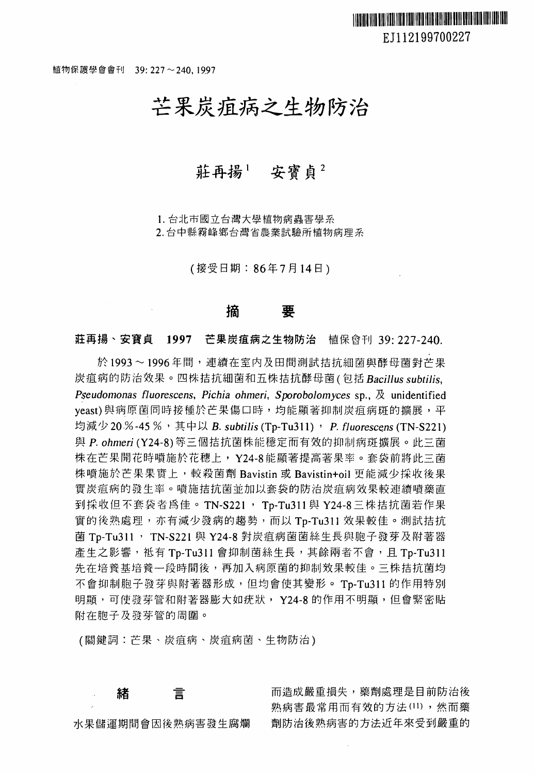植物保護學會會刊 39: 227~240, 1997

## 芒果炭痘病之生物防治

### 莊再揚! 安寶貞2

1.台北市國立台灣大學植物病蟲害學系

2. 台中縣霧峰鄉台灣省農業試驗所植物病理系

(接受日期: 86年7月14日)

# 摘要

莊再揚、安寶貞 1997 芒果炭疽病之生物防治 植保會刊 39: 227-240.

於1993~1996年間,連續在室內及田間測試拮抗細菌與酵母菌對芒果 炭痘病的防治效果。四株拈抗細菌和五株括抗酵母茵(包括 BaciJJus *subt*i1*is*, **Pseudomonas fluorescens, Pichia ohmeri, Sporobolomyces sp., 及 unidentified** yeast)與病原菌同時接種於芒果傷口時,均能顯著抑制炭疽病斑的擴展,平 均减少 20%-45%,其中以 B. subtilis (Tp-Tu311), P. fluorescens (TN-S221) P. *ohmeri* (Y24-8) 等三個拈抗菌株能穩定而有效的抑制病斑擴展。此三菌 株在芒果開花時噴施於花穗上, Y24-8 能顯著提高著果率。套袋前將此三菌 株噴施於芒果果實上,較殺菌劑 Bavistin 或 Bavistin+oil 更能減少採收後果 實炭疽病的發生率。噴施拮抗菌並加以套袋的防治炭疽病效果較連續噴藥直 到採收但不套袋者為佳。 TN-S221, Tp-Tu311與 Y24-8 三株拮抗菌若作果 實的俊熟處理,亦有減少發病的趨勢,而以 Tp-Tu311 效果較佳。測試措抗 菌 Tp-Tu311, TN-S221 與 Y24-8 對炭疽病菌菌絲生長與胞子發芽及附著器 產生之影響,祗有 Tp-Tu311 會抑制菌絲生長,其餘兩者不會,且 Tp-Tu311 先在培養基培養一段時間後,再加入病原菌的抑制效果較佳。三株拮抗菌均 不會抑制胞子發芽與附著器形成,但均會使其變形。Tp-Tu311 的作用特別 明顯,可使發芽管和附著器膨大如疣狀, Y24-8 的作用不明顯, 但會緊密貼 附在胞子及發芽管的周圍。

(關鍵詞:芒果、炭痘病、炭痘病茵、生物防治)

#### 緒 言

水果儲運期間會因後熟病害發生腐爛

而造成嚴重損失,藥劑處理是目前防治後 熟病害最常用而有效的方法 (11),然而藥 劑防治後熟病害的方法近年來受到嚴重的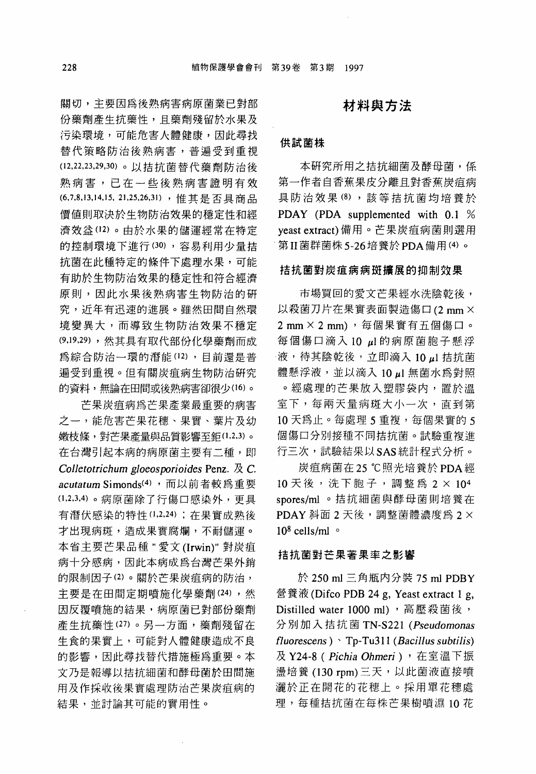關切,主要因為後熟病害病原菌業已對部 份藥劑產生抗藥性,且藥劑殘留於水果及 污染環境,可能危害火體健康,因此尋找 替代策略防治後熟病害,普遍受到重視 ( <sup>12</sup> <sup>22</sup> <sup>23</sup> <sup>29</sup> 30) 。以措抗菌替代藥劑防治後 熟病害,已在一些後熟病害證明有效 (6,7,8,13,14,15, 21,25,26,31),惟其是否具商品 價值則取決於生物防治效果的穩定性和經 濟效益(12)。由於水果的儲運經常在特定 的控制環境下進行 (30) ,容易利用少量措 抗菌在此種特定的條件下處理水果,可能 有助於生物防治效果的穩定性和符合經濟 原則,因此水果後熟病害生物防治的研 究,近年有迅速的進展。雖然田間自然環 境變異大,而導致生物防治效果不穩定 (9,19,29) ,然其具有取代部份化學藥劑而成 為綜合防治一環的潛能 (12) ,目前還是普 遍受到重視。但有關炭痘病生物防治研究 的資料,無論在田間或後熟病害卻很少(16)。

芒果炭痘病為芒果產業最重要的病害 之一,能危害芒果花穗、果實、葉片及幼 嫩枝條,對芒果產量與品質影響至鉅(1,2,3)。 在台灣引起本病的病原菌主要有二種,即 *Co*lJ*etotrichum gloeosporioides* Penz. 及 c acutatum Simonds<sup>(4),</sup>而以前者較爲重要 (1,2,3,4) 。病原菌除了行傷口感染外,更具 有潛伏感染的特性 (1,2,24) ; 在果實成熟後 才出現病斑,造成果實腐爛,不耐儲運。 本省主要芒果品種"愛文 (Irwin)" 對炭瘟 病十分感病,因此本病成為台灣芒果外銷 的限制因子 (2) 。關於芒果炭痘病的防治, 主要是在田間定期噴施化學藥劑 (24),然 因反覆噴施的結果,病原菌已對部份藥劑 產生抗藥性 (27) 。另一方面,藥劑殘留在 生食的果實上,可能對人體健康造成不良 的影響,因此尋找替代措施極為重要。本 文乃是報導以措抗細菌和酵母菌於田間施 用及作採收俊果實處理防治芒果炭痘病的 結果,並討論其可能的實用性。

### 材料與方法

#### 供試菌株

本研究所用之措抗細菌及酵母菌,係 第一作者自香蕉果皮分離且對香蕉炭瘟病 具防治效果 (8), 該等拮抗菌均培養於 PDAY (PDA supplemented with 0.1 % yeast extract) 備用。芒果炭痘病菌則選用 第 II 菌群菌株 5-26 培養於 PDA 備用 (4) 。

#### 措抗菌對炭痘病病斑擴展的抑制效果

市場買回的愛文芒果經水洗陰乾後, 以殺菌刀片在果實表面製造傷口 (2 mm ×  $2$  mm  $\times$   $2$  mm), 每個果實有五個傷口。 每個傷口滴入 10 μl 的病原菌胞子懸浮 液,待其陰乾後,立即滴入 10μl 拮抗菌 體懸浮液,並以滴入 10µ 無菌水為對照 。經處理的芒果放入塑膠袋內,置於溫 室下,每兩天量病斑大小一次,直到第 10 天為止。每處理 5 重複,每個果實的 5 個傷口分別接種不同措抗菌。試驗重複進 行三次,試驗結果以 SAS 統計程式分析。

炭疽病菌在 25 ℃照光培養於 PDA 經  $10 \t{R}$  後, 洗下胞子, 調整為  $2 \t{N}$   $10<sup>4</sup>$ spores/ml 。拮抗細菌與酵母菌則培養在  $P$ DAY 斜面 2 天後,調整菌體濃度為 2  $\times$  $10^8$  cells/ml  $\circ$ 

#### 措抗菌對芒果著果率之影響

<sup>250</sup> ml 三角瓶內分裝 <sup>75</sup> ml PDBY 營養液 (Difco PDB 24 g, Yeast extract 1 g, Distilled water 1000 ml), 高壓殺菌後, 分別加入措抗菌 TN-S221 *(Pseudomonas*  fluorescens ) Tp-Tu311 (Bacillus subtilis) Y24-8 ( *Pichia Ohmeri)* 在室溫下振 盪培養 (130 rpm) 三天, 以此菌液直接噴 灑於正在開花的花穗上。採用單花穗處 理,每種拮抗菌在每株芒果樹噴濕 10 花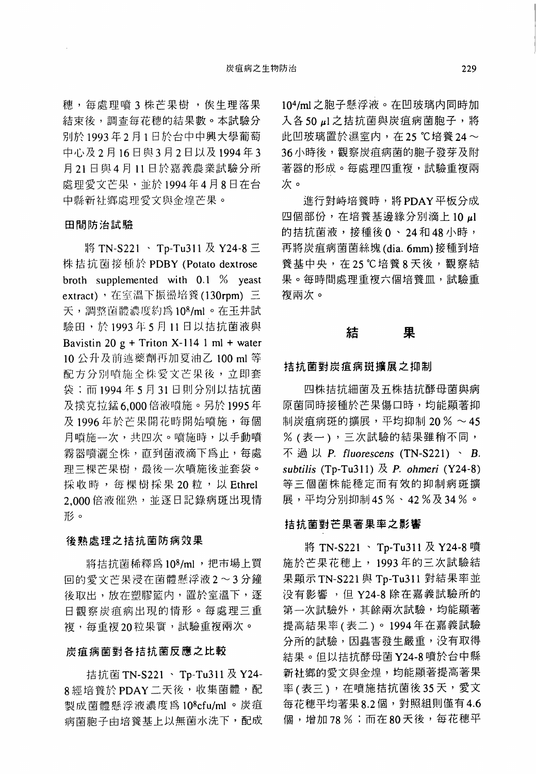穗,每處理噴3株芒果樹,俟生理落果 結束後,調查每花穗的結果數。本試驗分 別於 1993年2月1日於台中中興大學葡萄 中心及 2 月 16 日與 3 月 2 日以及 1994年3 <sup>21</sup> 日與 <sup>11</sup> 日於嘉義農業試驗分所 處理愛文芒果,並於 1994年4月8日在台 中縣新社鄉處理愛文與金煌芒果。

#### 田間防治試驗

將 TN-S221、 Tp-Tu311 及 Y24-8 三 株拮抗菌接種於 PDBY (Potato dextrose broth supplemented with 0.1 % yeast extract),在室溫下振盪培養(130rpm)三 天,調整菌體濃度約為108/ml。在玉井試 驗田,於 1993年5月11日以拮抗菌液與 Bavistin 20  $g$  + Triton X-114 1 ml + water <sup>10</sup> 公升及前述樂劑而加夏油乙 <sup>100</sup> ml 配方分別噴施全株愛文芒果後,立即套 袋;而 <sup>1994</sup> <sup>31</sup> 日則分別以括抗菌 及撲克拉錳 6.000 倍液噴施。另於 1995年 及1996年於芒果開花時開始噴施,每個 月噴施一次,共四次。噴施時,以手動噴 霧器噴灑全株,直到茵液滴下為止,每處 理三棵芒果樹,最後一次噴施後並套袋。 採收時,每棵樹採果 20 粒,以 Ethrel 2.000 倍液催熟,並逐日記錄病斑出現情 形。

#### 後熟處理之措抗菌防病效果

將拮抗菌稀釋為 108/ml,把市場上買 回的愛文芒果浸在菌體懸浮液 2~3分鐘 後取出,放在塑膠籃內,置於室溫下,逐 日觀察炭疽病出現的情形。每處理三重 複,每重複20粒果實,試驗重複兩次。

#### 炭痘病菌對各措抗菌反應之比較

拮抗菌 TN-S221、 Tp-Tu311 及 Y24-8經培養於 PDAY 二天後,收集菌體,配 製成菌體懸浮液濃度為 10<sup>8</sup>cfu/ml 。炭疽 病菌胞子由培養基上以無菌水洗下,配成

10<sup>4</sup>/ml 之胞子懸浮液。在凹玻璃内同時加 入各50μl 之拮抗菌與炭疽病菌胞子, 將 此凹玻璃置於濕室内,在 25 ℃培養 24~ 36 小時後,觀察炭疽病菌的胞子發芽及附 著器的形成。每處理四重複,試驗重複兩 次。

進行對峙培養時,將 PDAY 平板分成 四個部份,在培養基邊緣分別滴上 10μl 的拮抗菌液,接種後 0、24 和 48 小時, 再將炭瘟病茵茵絲塊 (dia.6mm) 接種到培 養基中央,在 25 ℃培養 8 天後,觀察結 果。每時間處理重複六個培養血,試驗重 複兩次。

# たいませんです。<br>結びの果て

#### 措抗菌對炭痘病斑擴展之抑制

四株括抗細菌及五株措抗酵母菌與病 原菌同時接種於芒果傷口時,均能顯著抑 制炭疽病斑的擴展,平均抑制  $20\% \sim 45$ % (表一) ,三次試驗的結果雖稍不間, 不過以 P. fluorescens (TN-S221) · B. *subt*i1*is* (Tp-Tu311) P. *ohmeri* (Y24-8) 等三個菌株能穩定而有效的抑制病斑擴 展,平均分別抑制 45 %、 42 %及 34 %。

#### 結抗菌對芒果著果率之影響

將 TN-S221、 Tp-Tu311 及 Y24-8 噴 施於芒果花穗上, <sup>1993</sup> 年的三次試驗結 果顯示 TN-S221 與 Tp-Tu311 對結果率並 沒有影響,但 Y24-8 除在嘉義試驗所的 第一次試驗外,其餘兩次試驗,均能顯著 提高結果率(表二) <sup>0</sup><sup>1994</sup> 年在嘉義試驗 分所的試驗,因蟲害發生嚴重,沒有取得 結果。但以措抗酵母菌 Y24-8 噴於台中縣 新社鄉的愛文與金煌,均能顯著提高著果 率(表三),在噴施拮抗菌後35天,愛文 每花穗平均著果 8.2 個,對照組則僅有 4.6 個,增加 78 %;而在 80 天後,每花穗平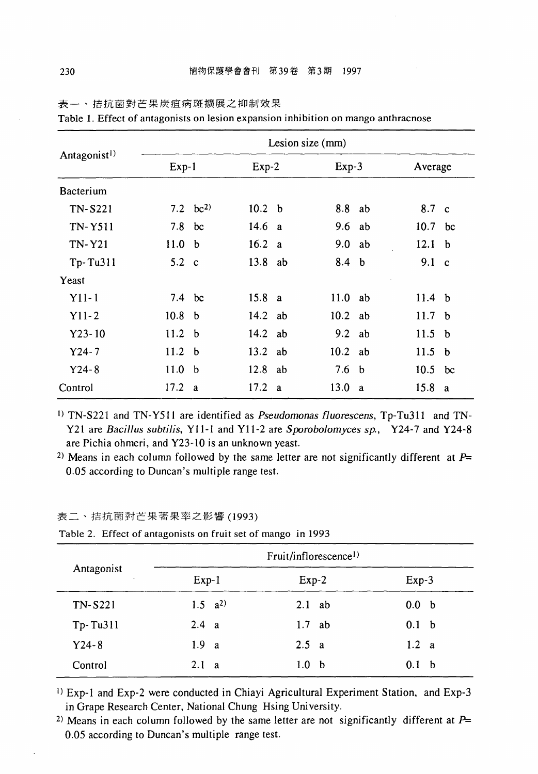|                          |                   |              |                   |    | Lesion size (mm) |    |                    |             |
|--------------------------|-------------------|--------------|-------------------|----|------------------|----|--------------------|-------------|
| Antagonist <sup>1)</sup> | $Exp-1$           |              | $Exp-2$           |    | Exp-3            |    | Average            |             |
| Bacterium                |                   |              |                   |    |                  |    |                    |             |
| <b>TN-S221</b>           |                   | 7.2 $bc^{2}$ | 10.2 <sub>b</sub> |    | 8.8 ab           |    | 8.7 c              |             |
| <b>TN-Y511</b>           | 7.8               | bc           | 14.6              | a  | 9.6              | ab | 10.7 <sub>bc</sub> |             |
| <b>TN-Y21</b>            | 11.0 <sub>b</sub> |              | 16.2 a            |    | 9.0 ab           |    | 12.1               | $\mathbf b$ |
| $Tp-Tu311$               | $5.2\phantom{0}c$ |              | 13.8 ab           |    | 8.4 b            |    | 9.1 <sub>c</sub>   |             |
| Yeast                    |                   |              |                   |    |                  |    |                    |             |
| $Y11-1$                  | 7.4 bc            |              | 15.8 a            |    | 11.0             | ab | 11.4 <sub>b</sub>  |             |
| $Y11-2$                  | 10.8 <sub>b</sub> |              | $14.2$ ab         |    | 10.2 ab          |    | 11.7 <sub>b</sub>  |             |
| $Y23 - 10$               | 11.2 <sub>b</sub> |              | $14.2$ ab         |    | 9.2 ab           |    | 11.5 <sub>b</sub>  |             |
| $Y24 - 7$                | 11.2 <sub>b</sub> |              | $13.2$ ab         |    | $10.2$ ab        |    | 11.5 <sub>b</sub>  |             |
| $Y24 - 8$                | 11.0              | - b          | 12.8              | ab | 7.6              | b  | 10.5 bc            |             |
| Control                  | 17.2 a            |              | 17.2              | a  | 13.0             | a  | 15.8               | a           |

表一、措抗菌對芒果炭痘病斑擴展之抑制效果

Table 1. Effect of antagonists on lesion expansion inhibition on mango anthracnose

1) TN-S221 and TN-Y511 are identified as *Pseudomonas fluorescens*, Tp-Tu311 and TN-Y21 are *Bacillus subtilis*, Y11-1 and Y11-2 are *Sporobolomyces sp.*, Y24-7 and Y24-8 are Pichia ohmeri, and Y23-10 is an unknown yeast.

<sup>2)</sup> Means in each column followed by the same letter are not significantly different at  $P=$ 0.05 according to Duncan's multiple range test.

#### 表二、措抗菌對芒果苦果率之影響(1993)

|  |  | Table 2. Effect of antagonists on fruit set of mango in 1993 |  |  |  |
|--|--|--------------------------------------------------------------|--|--|--|
|--|--|--------------------------------------------------------------|--|--|--|

|            |                     | Fruit/inflorescence <sup>1)</sup> |                  |
|------------|---------------------|-----------------------------------|------------------|
| Antagonist | $Exp-1$             | $Exp-2$                           | $Exp-3$          |
| TN-S221    | $1.5 \text{ a}^{2}$ | $2.1$ ab                          | 0.0 <sub>b</sub> |
| Tp-Tu311   | 2.4 a               | $1.7$ ab                          | 0.1 <sub>b</sub> |
| $Y24 - 8$  | 1.9 <sub>a</sub>    | 2.5 a                             | 1.2 a            |
| Control    | $2.1\ a$            | 1.0<br>b                          | 0.1<br>b         |

1) Exp-l and Exp-2 were conducted in Chiayi Agricultural Experiment Station, and Exp-3 in Grape Research Center, National Chung Hsing University.

<sup>2)</sup> Means in each column followed by the same letter are not significantly different at  $P=$ 0.05 according to Duncan's multiple range test.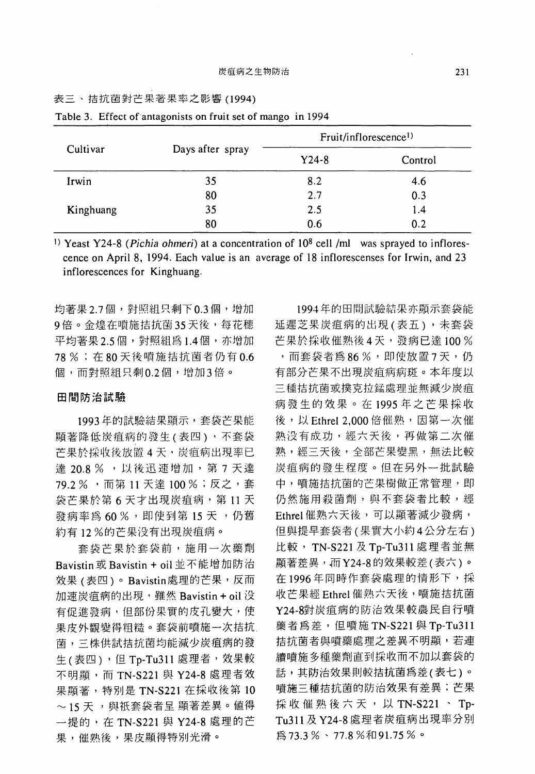#### 表三、措抗菌對芒果著果率之影響(1994)

|           |                  |         | Fruit/inflorescence <sup>1)</sup> |
|-----------|------------------|---------|-----------------------------------|
| Cultivar  | Days after spray | $Y24-8$ | Control                           |
| Irwin     | 35               | 8.2     | 4.6                               |
|           | 80               | 2.7     | 0.3                               |
| Kinghuang | 35               | 2.5     | 1.4                               |
|           | 80               | 0.6     | 0.2                               |

Table 3. Effect of antagonists on fruit set of mango in 1994

1) Yeast Y24-8 *(Pichia ohmeri)* at a concentration of 108 cell /ml was sprayed to inflorescence on April 8, 1994. Each value is an average of 18 inflorescenses for Irwin, and 23 inflorescences for Kinghuang.

均著果 2.7個,對照組只剩下 0.3 個,增加 9倍。金煌在噴施拮抗菌 35 天後,每花穗 平均著果 2.5 個,對照組為 1.4 個,亦增加 78 %; 在 80 天後噴施拮抗菌者仍有 0.6 個,而對照組只剩0.2個,增加3倍。

#### 田間防治試驗

1993年的試驗結果顯示,套袋芒果能 顯著降低炭疽病的發生(表四),不套袋 芒果於採收後放置 4天,炭疽病出現率已 達 20.8 %, 以後迅速增加, 第7天達 79.2 %, 而第 11 天達 100 %; 反之, 套 袋芒果於第6天才出現炭疽病,第11天 發病率為 60 %, 即使到第 15 天, 仍舊 約有 <sup>12</sup> %的芒果沒有出現炭痘病。

套袋芒果於套袋前,施用一次藥劑 Bavistin Bavistin + oil 並不能增加防治 效果(表四)。Bavistin處理的芒果,反而 加速炭疽病的出現, 雖然 Bavistin + oil 没 有促進發病,但部份果實的皮孔變大,使 果皮外觀變得粗糙。套袋前噴施一次措抗 菌,三株供試括抗菌均能減少炭痘病的發  $#$ (表四),但 Tp-Tu311 處理者,效果較 不明顯, 而 TN-S221 與 Y24-8 處理者效 果顯著,特別是 TN-S221 在採收後第 <sup>10</sup> 〜15 天 ,與祇套袋者呈 顯著差異。值得 一提的,在 TN-S221 與 Y24-8 處理的芒 果, 崔熟役,果皮顯得特別光滑。

<sup>1994</sup> 年的田間試驗結果亦顯示套袋能 延遲芝果炭痘病的出現(表五) ,未套袋 芒果於採收催熟後 4天,發病已達 100 % ,而套袋者為 86 %,即使放置 7 天,仍 有部分芒果不出現炭瘟病病斑。本年度以 三種措抗菌或撲克拉錦處理並無減少炭瘟 病發生的效果。在 <sup>1995</sup> 年之芒果採收 後,以 Ethrel 2.000 倍催熟, 因第一次催 熟沒有成功,經六天俊,再做第二次催 熟,經三天後,全部芒果變黑,無法比較 炭瘟病的發生程度。但在另外一批試驗 中,噴施拮抗菌的芒果樹做正常管理,即 仍然施用殺菌劑,與不套袋者比較,經 Ethrel 催熟六天後,可以顯著減少發病, 但與提早套袋者(果實大小約 公分左右) 比較, TN-S221及Tp-Tu311處理者並無 顯著差異,而 Y24-8 的效果較差(表六)。 在1996年同時作套袋處理的情形下,採 收芒果經 Ethrel 催熟六天役,噴施措抗菌 Y24-8對炭痘病的防治效果較農民自行噴 藥者為差,但噴施 TN-S221與 Tp-Tu311 拈抗菌者與噴藥處理之差異不明顯,若連 續噴施多種藥劑直到採收而不加以套袋的 話,其防治效果則較措抗菌為差(表七)。 噴施三種措抗菌的防治效果有差異;芒果 採收催熟後六天, 以 TN-S221、 Tp-Tu311 及 Y24-8 處理者炭疽病出現率分別 為73.3%、77.8%和91.75%。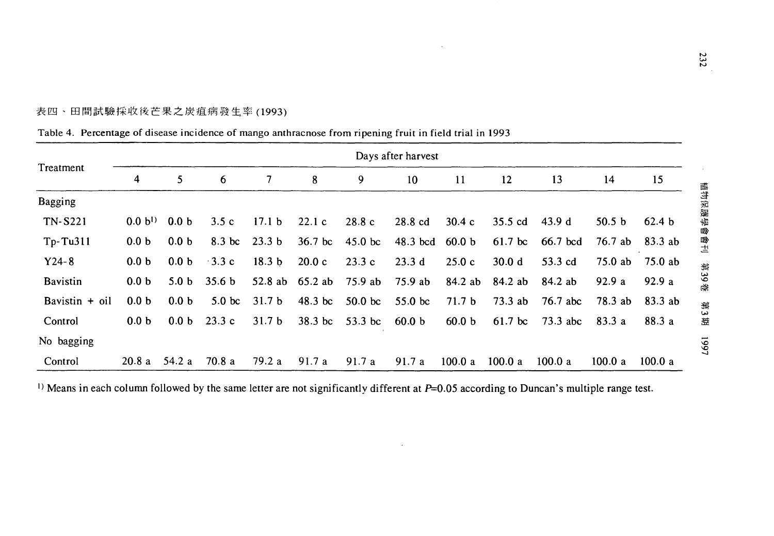1661

表四、田間試驗採收俊芒果之炭痘病發生率(1993)

| Treatment        |                  | Days after harvest |                   |                   |                 |                    |                   |                   |                   |            |                   |         |
|------------------|------------------|--------------------|-------------------|-------------------|-----------------|--------------------|-------------------|-------------------|-------------------|------------|-------------------|---------|
|                  | 4                | 5                  | 6                 | 7                 | 8               | 9                  | 10                | 11                | 12                | 13         | 14                | 15      |
| Bagging          |                  |                    |                   |                   |                 |                    |                   |                   |                   |            |                   |         |
| <b>TN-S221</b>   | $0.0 b^{1}$      | 0.0 <sub>b</sub>   | 3.5c              | 17.1 <sub>b</sub> | 22.1c           | 28.8c              | 28.8 cd           | 30.4c             | 35.5 cd           | 43.9d      | 50.5 <sub>b</sub> | 62.4 b  |
| $Tp-Tu311$       | 0.0 <sub>b</sub> | 0.0 <sub>b</sub>   | 8.3 bc            | 23.3 <sub>b</sub> | $36.7$ bc       | $45.0$ bc          | 48.3 bcd 60.0 b   |                   | $61.7$ bc         | 66.7 bcd   | 76.7 ab           | 83.3 ab |
| $Y24-8$          | 0.0 <sub>b</sub> | 0.0 <sub>b</sub>   | $\cdot$ 3.3 c     | 18.3 <sub>b</sub> | 20.0c           | 23.3c              | 23.3d             | 25.0c             | 30.0 <sub>d</sub> | 53.3 cd    | 75.0 ab           | 75.0 ab |
| <b>Bavistin</b>  | 0.0 <sub>b</sub> | 5.0 <sub>b</sub>   | 35.6 <sub>b</sub> |                   | 52.8 ab 65.2 ab | 75.9 ab            | 75.9 ab           | 84.2 ab           | 84.2 ab           | 84.2 ab    | 92.9a             | 92.9a   |
| Bavistin $+$ oil | 0.0 <sub>b</sub> | 0.0 <sub>b</sub>   | 5.0 <sub>bc</sub> | 31.7 <sub>b</sub> | $48.3$ bc       | 50.0 <sub>bc</sub> | $55.0$ bc         | 71.7 <sub>b</sub> | 73.3 ab           | $76.7$ abc | 78.3 ab           | 83.3 ab |
| Control          | 0.0 <sub>b</sub> | 0.0 <sub>b</sub>   | 23.3c             | 31.7 <sub>b</sub> | 38.3 bc         | 53.3 bc            | 60.0 <sub>b</sub> | 60.0 <sub>b</sub> | $61.7$ bc         | $73.3$ abc | 83.3 a            | 88.3 a  |
| No bagging       |                  |                    |                   |                   |                 |                    |                   |                   |                   |            |                   |         |
| Control          | 20.8a            | 54.2a              | 70.8 a            | 79.2 a            | 91.7a           | 91.7a              | 91.7 a            | 100.0 a           | 100.0 a           | 100.0 a    | 100.0 a           | 100.0 a |

Table 4. Percentage of disease incidence of mango anthracnose from ripening fruit in field trial in 1993

<sup>1)</sup> Means in each column followed by the same letter are not significantly different at P=0.05 according to Duncan's multiple range test.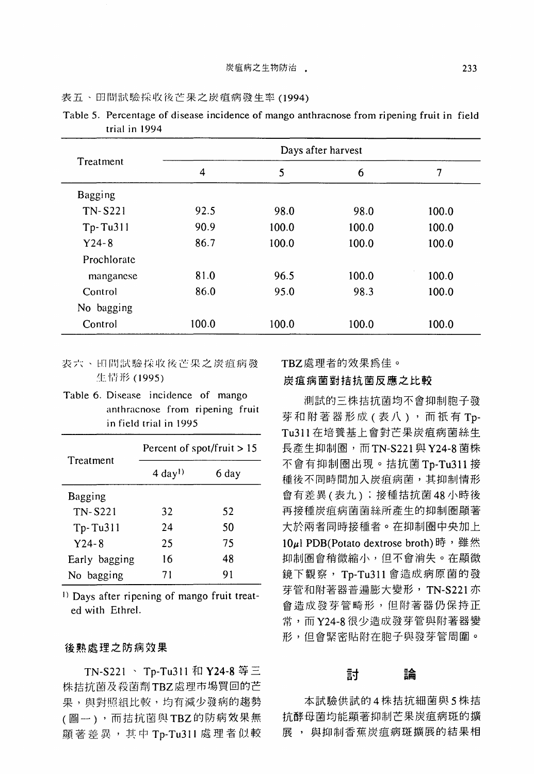|  | 表五、田間試驗採收後芒果之炭疽病發生率 (1994) |  |
|--|----------------------------|--|
|--|----------------------------|--|

|                | Days after harvest |       |       |       |  |  |  |  |  |  |
|----------------|--------------------|-------|-------|-------|--|--|--|--|--|--|
| Treatment      | 4                  | 5     | 6     | 7     |  |  |  |  |  |  |
| Bagging        |                    |       |       |       |  |  |  |  |  |  |
| <b>TN-S221</b> | 92.5               | 98.0  | 98.0  | 100.0 |  |  |  |  |  |  |
| $Tp-Tu311$     | 90.9               | 100.0 | 100.0 | 100.0 |  |  |  |  |  |  |
| $Y24 - 8$      | 86.7               | 100.0 | 100.0 | 100.0 |  |  |  |  |  |  |
| Prochlorate    |                    |       |       |       |  |  |  |  |  |  |
| manganese      | 81.0               | 96.5  | 100.0 | 100.0 |  |  |  |  |  |  |
| Control        | 86.0               | 95.0  | 98.3  | 100.0 |  |  |  |  |  |  |
| No bagging     |                    |       |       |       |  |  |  |  |  |  |
| Control        | 100.0              | 100.0 | 100.0 | 100.0 |  |  |  |  |  |  |

Table 5. Percentage of disease incidence of mango anthracnose from ripening fruit in field trial in 1994

- 表六、田間試驗採收後芒果之炭疽病發 生情形 (1995)
- Table 6. Disease incidence of mango anthracnose from ripening fruit in field trial in 1995

| Treatment      | Percent of spot/fruit $> 15$ |       |  |  |  |  |  |
|----------------|------------------------------|-------|--|--|--|--|--|
|                | $4 \text{ day}^{1}$          | 6 day |  |  |  |  |  |
| Bagging        |                              |       |  |  |  |  |  |
| <b>TN-S221</b> | 32                           | 52    |  |  |  |  |  |
| Tp-Tu311       | 24                           | 50    |  |  |  |  |  |
| $Y24 - 8$      | 25                           | 75    |  |  |  |  |  |
| Early bagging  | 16                           | 48    |  |  |  |  |  |
| No bagging     | 71                           | 91    |  |  |  |  |  |

1) Days after ripening of mango fruit treated with Ethrel.

#### 後熟處理之防病效果

TN-S221、 Tp-Tu311 和 Y24-8 等三 株拈抗菌及殺茵劑 TBZ 處理市場買回的芒 果,與對照組比較,均有減少發病的趨勢 (國一) ,而拈抗菌與 TBZ 的防病效果無 顯著差異,其中 Tp-Tu311 處理者似較 TBZ 處理者的效果為佳。

#### 炭痘病菌對措抗菌反應之比較

測試的三株括抗菌均不會抑制胞子發 芽和附著器形成(表八),而祇有 Tp-Tu311 在培養基上會對芒果炭瘟病菌絲生 長產生抑制圈,而 TN-S221與 Y24-8 菌株 不會有抑制圈出現。措抗菌 Tp-Tu311 種後不同時間加入炭疽病菌,其抑制情形 會有差異(表九) ;接種措抗菌 <sup>48</sup> 小時後 再接種炭痘病茵茵絲所產生的抑制園顯著 大於兩者同時接種者。在抑制圈中央加上 10µl PDB(Potato dextrose broth)時,雖然 抑制園會稍微縮小,但不會消失。在顯微 鏡下觀察, Tp-Tu311 會造成病原茵的發 芽管和附著器普遍膨大變形, TN-S221亦 會造成發芽管畸形,但附著器仍保持正 常,而 Y24-8 很少造成發芽管與附著器變 形,但會緊密貼附在胞子與發芽管周圍。

# 討論

本試驗供試的 4 株拮抗細菌與 5 株拮 抗酵母菌均能顯著抑制芒果炭痘病斑的擴 展, 與抑制香蕉炭疽病斑擴展的結果相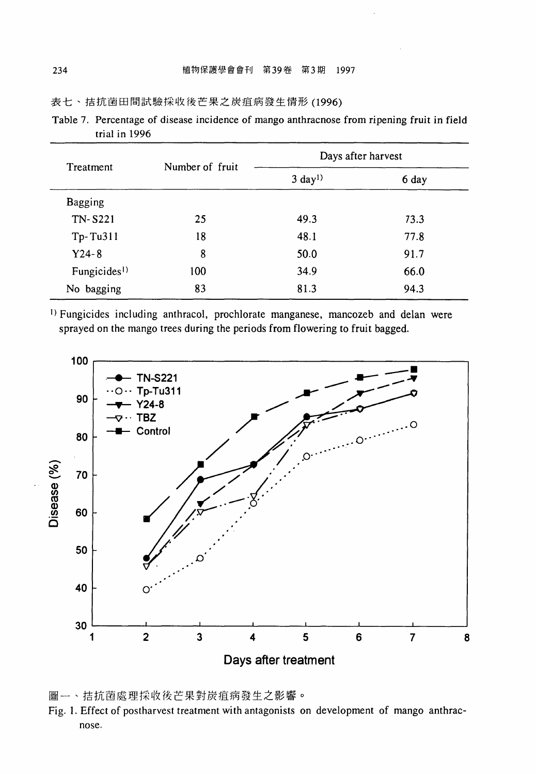表七、措抗菌田間試驗採收後芒果之炭痘病發生情形 (1996)

| Table 7. Percentage of disease incidence of mango anthracnose from ripening fruit in field |  |  |  |  |  |
|--------------------------------------------------------------------------------------------|--|--|--|--|--|
| trial in 1996                                                                              |  |  |  |  |  |

| Treatment                |                 | Days after harvest  |       |  |  |  |  |
|--------------------------|-----------------|---------------------|-------|--|--|--|--|
|                          | Number of fruit | $3 \text{ day}^{1}$ | 6 day |  |  |  |  |
| <b>Bagging</b>           |                 |                     |       |  |  |  |  |
| TN-S221                  | 25              | 49.3                | 73.3  |  |  |  |  |
| Tp-Tu311                 | 18              | 48.1                | 77.8  |  |  |  |  |
| $Y24 - 8$                | 8               | 50.0                | 91.7  |  |  |  |  |
| Fungicides <sup>1)</sup> | 100             | 34.9                | 66.0  |  |  |  |  |
| No bagging               | 83              | 81.3                | 94.3  |  |  |  |  |

1) Fungicides including anthracol, prochlorate manganese, mancozeb and delan were sprayed on the mango trees during the periods from flowering to fruit bagged.



園一、括抗菌處理採收俊芒果對炭瘟病發生之影響。

Fig. 1. Effect of postharvest treatment with antagonists on development of mango anthracnose.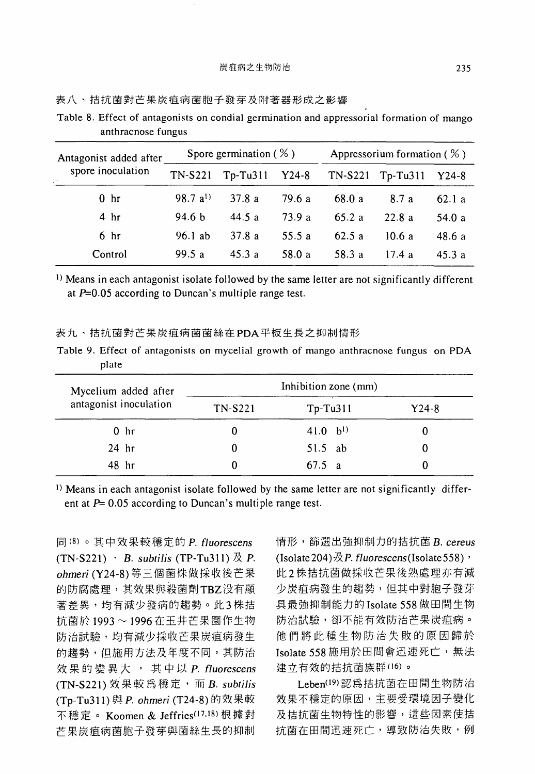| Antagonist added after |                   | Spore germination ( $\%$ ) |         |         | Appressorium formation $(%)$ |        |  |  |  |
|------------------------|-------------------|----------------------------|---------|---------|------------------------------|--------|--|--|--|
| spore inoculation      | <b>TN-S221</b>    | $Tp-Tu311$                 | $Y24-8$ | TN-S221 | $Tp-Tu311$                   | Y24-8  |  |  |  |
| 0 <sub>hr</sub>        | $98.7 a^{1}$      | 37.8a                      | 79.6 a  | 68.0 a  | 8.7a                         | 62.1a  |  |  |  |
| 4 <sub>hr</sub>        | 94.6 <sub>b</sub> | 44.5 a                     | 73.9a   | 65.2a   | 22.8a                        | 54.0 a |  |  |  |
| 6 <sub>hr</sub>        | $96.1$ ab         | 37.8a                      | 55.5 a  | 62.5a   | 10.6a                        | 48.6a  |  |  |  |
| Control                | 99.5a             | 45.3a                      | 58.0 a  | 58.3 a  | 17.4a                        | 45.3a  |  |  |  |

表八、措抗菌對芒果炭瘟病菌胞子發芽及附著器形成之影響

Table 8. Effect of antagonists on condial germination and appressorial formation of mango anthracnose fungus

1) Means in each antagonist isolate followed by the same letter are not significantly different at P=*0.05* according to Duncan's multiple range test.

#### 表九、拾抗菌對芒果炭痘病茵茵絲在 POA 平板生長之抑制情形

|       |  |  |  | Table 9. Effect of antagonists on mycelial growth of mango anthracnose fungus on PDA |  |  |
|-------|--|--|--|--------------------------------------------------------------------------------------|--|--|
| plate |  |  |  |                                                                                      |  |  |

| Mycelium added after<br>antagonist inoculation | Inhibition zone (mm) |              |       |
|------------------------------------------------|----------------------|--------------|-------|
|                                                | TN-S221              | $Tp-Tu311$   | Y24-8 |
| 0 <sub>hr</sub>                                | 0                    | $41.0 b^{1}$ |       |
| $24$ hr                                        | O                    | $51.5$ ab    |       |
| 48 hr                                          | 0                    | 67.5 a       |       |

1) Means in each antagonist isolate followed by the same letter are not significantly different at  $P= 0.05$  according to Duncan's multiple range test.

(8) 。其中效果較穩定的 P. f1 *uorescens*   $(TN-S221) \cdot B$ . *subtilis*  $(TP-Tu311) \not\& P$ . *ohmeri* (Y24-8) 等三個菌株做採收後芒果 的防腐處理,其效果與殺菌劑 TBZ 沒有顯 著差異,均有減少發病的趨勢。此3株拮 抗菌於 1993~1996 在玉井芒果園作生物 防治試驗,均有減少採收芒果炭瘟病發生 的趨勢,但施用方法及年度不同,其防治 效果的變異六,其中以 P. f1 *uorescens*  (TN-S221) 效果較為穩定,而 B. *subtilis*  (Tp-Tu311) 與 P. ohmeri (T24-8) 的效果較 不穩定。 Koomen & Jeffries(17,18) 根據對 芒果炭瘟病菌胞子發芽與茵絲生長的抑制

情形,篩選出強抑制力的拈抗菌 B. *cereus*  (Isolate 204)  $R$  P. fluorescens (Isolate 558)  $\cdot$ 株措抗菌做採收芒果俊熟處理亦有減 少炭瘟病發生的趨勢,但其中對胞子發芽 具最強抑制能力的 Isolate <sup>558</sup> 做田間生物 防治試驗,卻不能有效防治芒果炭痘病。 他們將此種生物防治失敗的原因歸於 Isolate 558 施用於田間會迅速死亡, 無法 建立有效的拮抗菌族群(16)。

Leben<sup>(19)</sup> 認為拮抗菌在田間生物防治 效果不穩定的原因,主要受環境因子變化 及拮抗菌生物特性的影響,這些因素使拮 抗菌在田間迅速死亡,導致防治失敗,例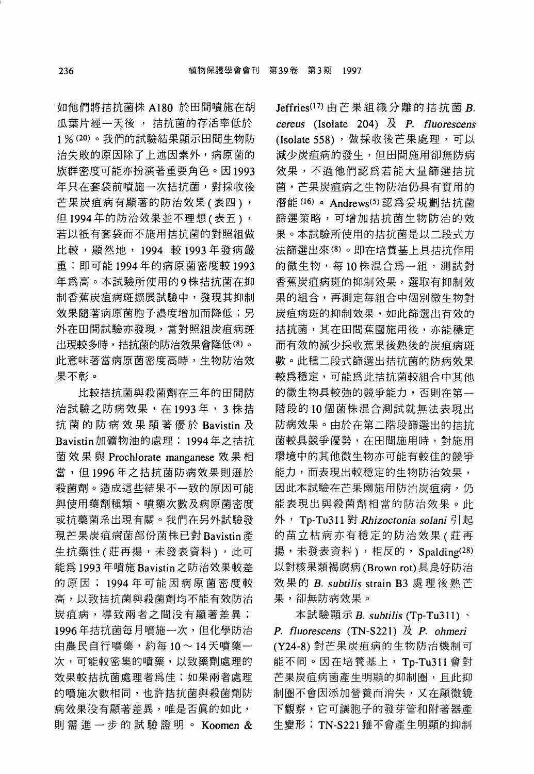如他們將措抗菌株 A180 於田間噴施在胡 瓜葉片經一天後, 拮抗菌的存活率低於 1 % (20) 。我們的試驗結果顯示田間生物防 治失敗的原因除了上述因素外,病原菌的 族群密度可能亦扮演著重要角色。因 1993 年只在套袋前噴施一次括抗菌,對採收後 芒果炭疽病有顯著的防治效果(表四), 但1994年的防治效果並不理想(表五), 若以被有套袋而不施用括抗菌的對照組做 比較,顯然地, <sup>1994</sup> <sup>1993</sup> 年發病嚴 重;即可能 <sup>1994</sup> 年的病原菌密度較 <sup>1993</sup> 年為高。本試驗所使用的9株拮抗菌在抑 制香蕉炭痘病斑擴展試驗中,發現其抑制 效果隨著病原菌胞子濃度增加而降低;另 外在田間試驗亦發現,當對照組炭疽病斑 出現較多時,拮抗菌的防治效果會降低(8)。 此意昧著當病原菌密度高時,生物防治效 果不彰。

比較括抗菌與殺菌劑在三年的田間防 治試驗之防病效果, 在1993年, 3 株拮 抗菌的防病效果顯著優於 Bavistin Bavistin 加礦物油的處理; 1994年之拮抗 菌效果與 Prochlorate manganese 效果相 當,但 <sup>1996</sup> 年之措抗菌防病效果則遜於 殺菌劑。造成這些結果不一致的原因可能 與使用藥劑種類、噴藥次數及病原菌密度 或抗藥菌系出現有關。我們在另外試驗發 現芒果炭痘病菌部份菌株已對 Bavistin 生抗藥性(莊再揚,未發表資料),此可 能為 <sup>1993</sup> 年噴施 Bavistin 之防治效果較差 的原因; <sup>1994</sup> 年可能因病原菌密度較 高,以致括抗菌與殺菌劑均不能有效防治 炭痘病,導致兩者之間沒有顯著差異; <sup>1996</sup> 年措抗菌每月噴施一次,但化學防治 由農民自行噴藥,約每10~14天噴藥一 次,可能較密集的噴藥,以致藥劑處理的 效果較措抗菌處理者為佳;如果兩者處理 的噴施次數相同,也許括抗菌與殺菌劑防 病效果沒有顯著差異,唯是否真的如此, 則需進一步的試驗證明。 Koomen &

Jeffries $^{(17)}$ 由芒果組織分離的拮抗菌 B. *cereus* (lsolate 204) P. *fl uorescens*  (Isolate 558), 做採收後芒果處理, 可以 減少炭痘病的發生,但田間施用卻無防病 效果,不過他們認為若能大量篩選措抗 菌,芒果炭痘病之生物防治仍具有實用的 潛能(16) 。 Andrews<sup>(5)</sup> 認為妥規劃拮抗菌 篩選策略,可增加括抗菌生物防治的效 果。本試驗所使用的括抗菌是以二段式方 法篩選出來 (8) 。即在培養基上具措抗作用 的微生物,每10株混合為一組,測試對 香蕉炭痘病斑的抑制效果,選取有抑制效 果的組合,再測定每組合中個別微生物對 炭痘病斑的抑制效果,如此篩選出有效的 括抗菌,其在田間蕉園施用後,亦能穩定 而有效的減少採收蕉果俊熟後的炭痘病斑 數。此種二段式篩選出措抗菌的防病效果 較為穩定,可能為此措抗菌較組合中其他 的微生物具較強的競爭能力,否則在第一 階段的 <sup>10</sup> 個菌株混合測試就無法表現出 防病效果。由於在第二階段篩選出的措抗 菌較具競爭優勢,在田間施用時,對施用 環境中的其他微生物亦可能有較佳的競爭 能力,而表現出較穩定的生物防治效果, 因此本試驗在芒果園施用防治炭疽病,仍 能表現出與殺菌劑相當的防治效果。此 外, Tp-Tu311 對 Rhizoctonia solani 引起 的苗立枯病亦有穩定的防治效果(莊再 揚,未發表資料),相反的, Spalding(28) 以對核果類褐腐病 (Brown rot) 具良好防治 效果的 B. *subtilis* strain B3 處理後熟芒 果,卻無防病效果。

本試驗顯示 B. subtilis (Tp-Tu311)、 *P. fluorescens* (TN-S221) 及 *P. ohmeri* (Y24-8) 對芒果炭痘病的生物防治機制可 能不同。因在培養基上, Tp-Tu311 會對 芒果炭疽病菌產生明顯的抑制圈,且此抑 制園不會因添加營贅而消失,又在顯微鏡 下觀察,它可讓胞子的發芽管和附著器產 生變形; TN-S221 雖不會產生明顯的抑制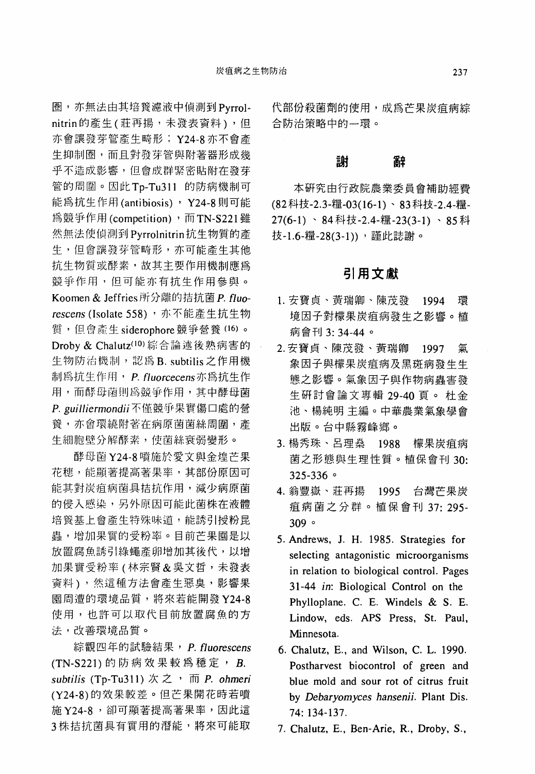圈,亦無法由其培養濾液中偵測到 Pyrrolnitrin 的產生(莊再揚,未發表資料),但 亦會讓發芽管產生畸形: Y24-8 亦不會產 生抑制圈,而且對發芽管與附著器形成幾 乎不造成影響,但會成群緊密貼附在發芽 管的問圈。因此 Tp-Tu311 的防病機制可 能為抗生作用 (antibiosis) , Y24-8 則可能 為競爭作用 (competition), 而 TN-S221雖 然無法使偵測到 Pyrrolnitrin 抗生物質的產 生,但會議發芽管畸形,亦可能產生其他 抗生物質或酵素,故其主要作用機制應為 競爭作用,但可能亦有抗生作用參與 Koomen & Jeffries 所分離的拮抗菌 P. fluorescens (Isolate 558), 亦不能產生抗生物 質,但會產生 siderophore 競爭營養 (16)。 Droby & Chalutz(IO) 綜合論述後熟病害的 生物防治機制,認為 B. subtilis 之作用機 制為抗生作用, P. fluorcecens 亦為抗生作 用,而酵母菌則為競爭作用,其中酵母菌 P. guilliermondii 不僅競爭果實傷口處的營 養,亦會環繞附著在病原菌菌絲周圍,產 生細胞授分解酵素,使茵絲衰弱變形。

酵母菌 Y24-8 噴施於愛文與金煌芒果 花穗,能顯著提高著果率,其部份原因可 能其對炭疽病菌具拮抗作用,減少病原菌 的侵入感染,另外原因可能此菌株在液體 培養基上會產生特殊味道,能誘引授粉昆 蟲,增加果實的受粉率。目前芒果園是以 放置腐魚誘引綠蠅產卵增加其後代,以增 加果實受粉率 (林宗賢&吳文哲,未發表 資料),然這種方法會產生惡臭,影響果 園周遭的環境品質,將來若能開發 Y24-8 使用,也許可以取代目前放置腐魚的方 法,改善環境品質。

綜觀四年的試驗結果, P. fluorescens (TN-S221 )的防病效果較為穩定 *B. subtilis* (Tp-Tu311 )次之,而 P. *ohmeri*  (Y24-8) 的效果較差。但芒果開花時若噴 Y24-8 '卻可顯著提高著果率,因此這 3株拮抗菌具有實用的潛能,將來可能取

代部份殺菌劑的使用,成為芒果炭疽病綜 合防治策略中的一環。

# 謝<br>謝 辭

本研究由行政院農業委員會補助經費 (82科技-2.3-糧-03(16-1)、83科技-2.4-糧-27(6-1) 84科技-2.4-糧-23(3-1) 85科 技-1.6-糧-28(3-1)),選此誌謝。

### 引用文獻

- 1.安寶貞、黃瑞卿、陳茂發 1994 環 境因子對檬果炭瘟病發生之影響。植 病會刊 3:34-44。
- 2. 安寶貞、陳茂發、黃瑞卿 1997 氣 象因子與檬果炭疽病及黑斑病發生生 態之影響。氣象因子與作物病蟲害發 生研討會論文專輯 29-40 頁。杜金 池、楊純明 主編。中華農業氣象學會 出版。台中縣霧峰鄉。
- 3. 楊秀珠、呂理燊 1988 檬果炭疽病 菌之形態與生理性質。植保會刊 30:  $325 - 336$   $\circ$
- 4. 翁豐嶽、莊再揚 1995 台灣芒果炭 痘病菌之分群。植保會刊 37: 295-  $309°$
- 5. Andrews, 1. H. 1985. Strategies for selecting antagonistic microorganisms in relation to biological control. Pages 31-44 *in:* Biological Control on the Phylloplane. C. E. Windels & S. E. Lindow, eds. APS Press, St. Paul, Minnesota.
- 6. Chalutz, E. , and Wilson, C. L. 1990. Postharvest biocontrol of green and blue mold and sour rot of citrus fruit by *Debaryomyces hansenii.* Plant Dis. 74: 134-137.
- 7. Chalutz, E., Ben-Arie, R., Droby, S.,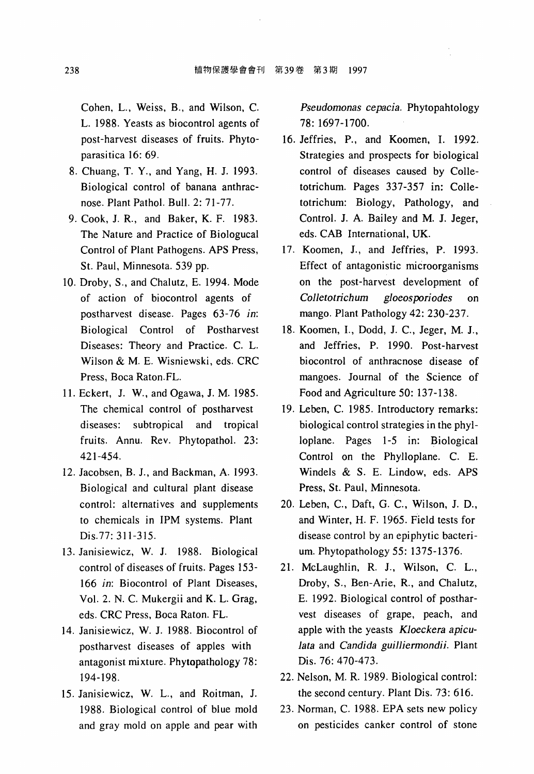Cohen, L., Weiss, B., and Wilson, C. L. 1988. Yeasts as biocontrol agents of post-harvest diseases of fruits. Phytoparasitica 16: 69.

- 8. Chuang, T. Y. , and Yang, H. J. 1993. Biological control of banana anthracnose. Plant Pathol. Bull. 2: 71-77.
- 9. Cook, J. R., and Baker, K. F. 1983. The Nature and Practice of Biologucal Control of Plant Pathogens. APS Press, St. Paul, Minnesota. 539 pp.
- 10. Droby, S. , and Chalutz, E. 1994. Mode of action of biocontrol agents of postharvest disease. Pages 63-76 *in:*  Biological Control of Postharvest Diseases: Theory and Practice. C. L. Wilson & M. E. Wisniewski, eds. CRC Press, Boca Raton.FL.
- 11. Eckert, J. W., and Ogawa, J. M. 1985. The chemical control of postharvest diseases: subtropical and tropical fruits. Annu. Rev. Phytopathol. 23: 421-454.
- 12. Jacobsen, B. J., and Backman, A. 1993. Biological and cultural plant disease control: alternatives and supplements to chemicals in IPM systems. Plant Dis.77: 311-315.
- 13. Janisiewicz, W. J. 1988. Biological control of diseases of fruits. Pages 153- 166 *in:* Biocontrol of Plant Diseases, Vol. 2. N. C. Mukergii and K. L. Grag, eds. CRC Press, Boca Raton. FL.
- 14. Janisiewicz, W. J. 1988. Biocontrol of postharvest diseases of apples with antagonist mixture. Phytopathology 78: 194-198.
- 15. Janisiewicz, W. L., and Roitman, J. 1988. Biological control of blue mold and gray mold on apple and pear with

*Pseudomonas cepacia.* Phytopahtology 78: 1697-1700.

- 16. Jeffries, P., and Koomen, I. 1992. Strategies and prospects for biological control of diseases caused by Colletotrichum. Pages 337-357 in: Colletotrichum: Biology, Pathology, and Control. J. A. Bailey and M. J. Jeger, eds. CAB International, UK.
- 17. Koomen, J., and Jeffries, P. 1993. Effect of antagonistic microorganisms on the post-harvest development of *Colletotrichum gloeosporiodes* on mango. Plant Pathology 42: 230-237.
- 18. Koomen, 1., Dodd, J. C. , Jeger, M. J. , and Jeffries, P. 1990. Post-harvest biocontrol of anthracnose disease of mangoes. Journal of the Science of Food and Agriculture 50: 137-138.
- 19. Leben, C. 1985. Introductory remarks: biological control strategies in the phylloplane. Pages 1-5 in: Biological Control on the Phylloplane. C. E. Windels & S. E. Lindow, eds. APS Press, St. Paul, Minnesota.
- 20. Leben, C., Daft, G. C., Wilson, J. D., and Winter, H. F. 1965. Field tests for disease control by an epiphytic bacterium. Phytopathology 55: 1375-1376.
- 21. McLaughlin, R. J., Wilson, C. L., Droby, S., Ben-Arie, R. , and Chalutz, E. 1992. Biological control of postharvest diseases of grape, peach, and apple with the yeasts *Kloeckera apiculata* and *Candida guilliermondii.* Plant Dis. 76: 470-473.
- 22. Nelson, M. R. 1989. Biological control: the second century. Plant Dis. 73: 616.
- 23. Norman, C. 1988. EPA sets new policy on pesticides canker control of stone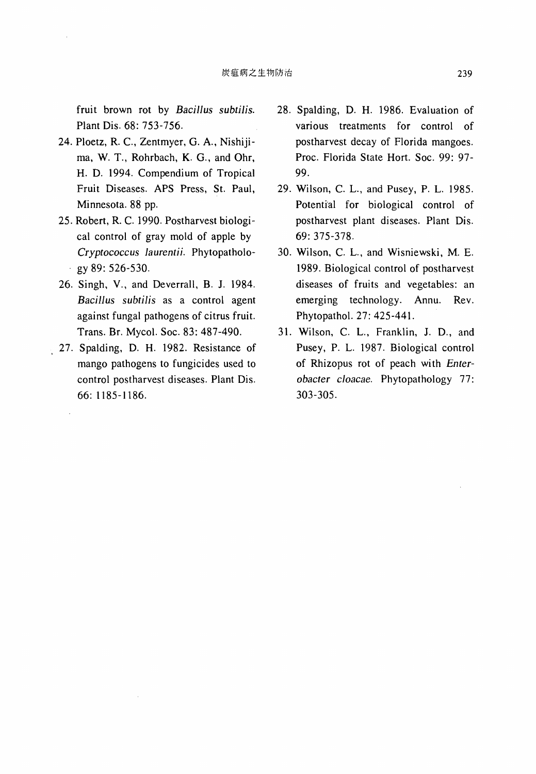fruit brown rot by *Bacillus subtilis.*  Plant Dis. 68: 753-756.

- 24. Ploetz, R. C., Zentmyer, G. A. , Nishijima, W. T., Rohrbach, K. G., and Ohr, H. D. 1994. Compendium of Tropical Fruit Diseases. APS Press, St. Paul, Minnesota. 88 pp.
- 25. Robert, R. C. 1990. Postharvest biological control of gray mold of apple by *Cryptococcus Jaurentii.* Phytopatholo- $\cdot$  gy 89: 526-530.
- 26. Singh, V. , and Deverrall, B. J. 1984. *BaciJJus subtilis* as a control agent against fungal pathogens of citrus fruit. Trans. Br. Mycol. Soc. 83: 487-490.
- 27. Spalding, D. H. 1982. Resistance of mango pathogens to fungicides used to control postharvest diseases. Plant Dis. 66: 1185-1186.
- 28. Spalding, D. H. 1986. Evaluation of various treatments for control of postharvest decay of Florida mangoes. Proc. Florida State Hort. Soc. 99: 97- 99.
- 29. Wilson, C. L. , and Pusey, P. L. 1985. Potenüal for biological control of postharvest plant diseases. Plant Dis. 69: 375-378.
- 30. Wilson, C. L., and Wisniewski, M. E. 1989. Biological control of postharvest diseases of fruits and vegetables: an emerging technology. Annu. Rev. Phytopathol. 27: 425-441.
- 31. Wilson, C. L., Franklin, J. D., and Pusey, P. L. 1987. Biological control of Rhizopus rot of peach with *Enterobacter* c1*oacae.* Phytopathology 77: 303-305.